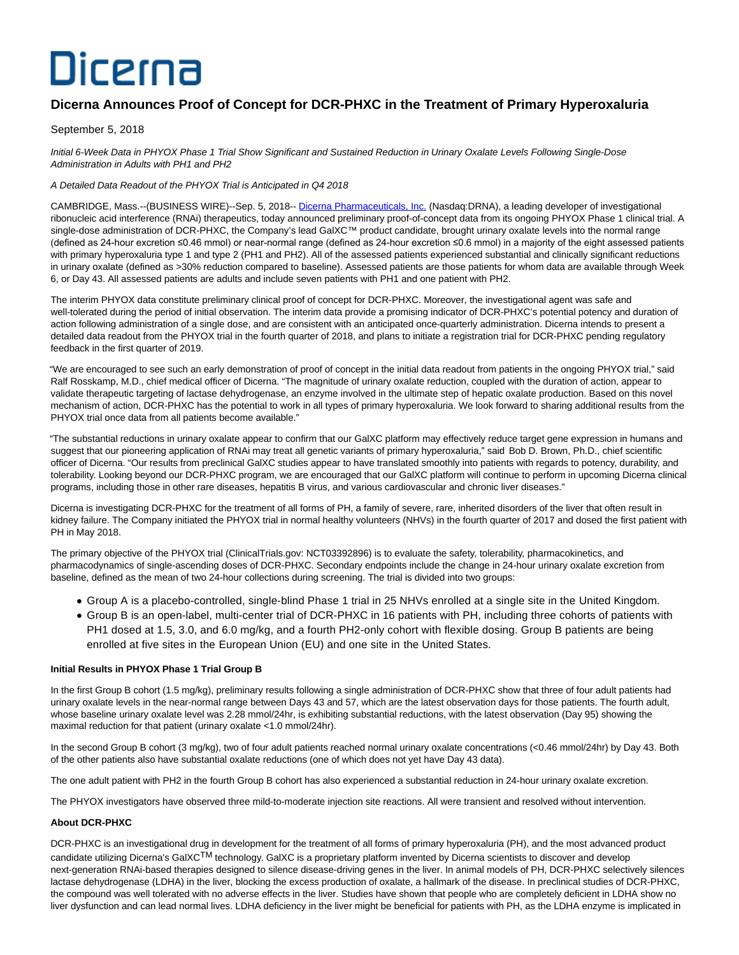# Dicerna

## **Dicerna Announces Proof of Concept for DCR-PHXC in the Treatment of Primary Hyperoxaluria**

### September 5, 2018

Initial 6-Week Data in PHYOX Phase 1 Trial Show Significant and Sustained Reduction in Urinary Oxalate Levels Following Single-Dose Administration in Adults with PH1 and PH2

#### A Detailed Data Readout of the PHYOX Trial is Anticipated in Q4 2018

CAMBRIDGE, Mass.--(BUSINESS WIRE)--Sep. 5, 2018-- [Dicerna Pharmaceuticals, Inc. \(](http://cts.businesswire.com/ct/CT?id=smartlink&url=http%3A%2F%2Fwww.dicerna.com&esheet=51861803&newsitemid=20180905005422&lan=en-US&anchor=Dicerna+Pharmaceuticals%2C+Inc.&index=1&md5=e2daa24f55935e5f95a6b7b5745adec1)Nasdaq:DRNA), a leading developer of investigational ribonucleic acid interference (RNAi) therapeutics, today announced preliminary proof-of-concept data from its ongoing PHYOX Phase 1 clinical trial. A single-dose administration of DCR-PHXC, the Company's lead GalXC™ product candidate, brought urinary oxalate levels into the normal range (defined as 24-hour excretion ≤0.46 mmol) or near-normal range (defined as 24-hour excretion ≤0.6 mmol) in a majority of the eight assessed patients with primary hyperoxaluria type 1 and type 2 (PH1 and PH2). All of the assessed patients experienced substantial and clinically significant reductions in urinary oxalate (defined as >30% reduction compared to baseline). Assessed patients are those patients for whom data are available through Week 6, or Day 43. All assessed patients are adults and include seven patients with PH1 and one patient with PH2.

The interim PHYOX data constitute preliminary clinical proof of concept for DCR-PHXC. Moreover, the investigational agent was safe and well-tolerated during the period of initial observation. The interim data provide a promising indicator of DCR-PHXC's potential potency and duration of action following administration of a single dose, and are consistent with an anticipated once-quarterly administration. Dicerna intends to present a detailed data readout from the PHYOX trial in the fourth quarter of 2018, and plans to initiate a registration trial for DCR-PHXC pending regulatory feedback in the first quarter of 2019.

"We are encouraged to see such an early demonstration of proof of concept in the initial data readout from patients in the ongoing PHYOX trial," said Ralf Rosskamp, M.D., chief medical officer of Dicerna. "The magnitude of urinary oxalate reduction, coupled with the duration of action, appear to validate therapeutic targeting of lactase dehydrogenase, an enzyme involved in the ultimate step of hepatic oxalate production. Based on this novel mechanism of action, DCR-PHXC has the potential to work in all types of primary hyperoxaluria. We look forward to sharing additional results from the PHYOX trial once data from all patients become available."

"The substantial reductions in urinary oxalate appear to confirm that our GalXC platform may effectively reduce target gene expression in humans and suggest that our pioneering application of RNAi may treat all genetic variants of primary hyperoxaluria," said Bob D. Brown, Ph.D., chief scientific officer of Dicerna. "Our results from preclinical GalXC studies appear to have translated smoothly into patients with regards to potency, durability, and tolerability. Looking beyond our DCR-PHXC program, we are encouraged that our GalXC platform will continue to perform in upcoming Dicerna clinical programs, including those in other rare diseases, hepatitis B virus, and various cardiovascular and chronic liver diseases."

Dicerna is investigating DCR-PHXC for the treatment of all forms of PH, a family of severe, rare, inherited disorders of the liver that often result in kidney failure. The Company initiated the PHYOX trial in normal healthy volunteers (NHVs) in the fourth quarter of 2017 and dosed the first patient with PH in May 2018.

The primary objective of the PHYOX trial (ClinicalTrials.gov: NCT03392896) is to evaluate the safety, tolerability, pharmacokinetics, and pharmacodynamics of single-ascending doses of DCR-PHXC. Secondary endpoints include the change in 24-hour urinary oxalate excretion from baseline, defined as the mean of two 24-hour collections during screening. The trial is divided into two groups:

- Group A is a placebo-controlled, single-blind Phase 1 trial in 25 NHVs enrolled at a single site in the United Kingdom.
- Group B is an open-label, multi-center trial of DCR-PHXC in 16 patients with PH, including three cohorts of patients with PH1 dosed at 1.5, 3.0, and 6.0 mg/kg, and a fourth PH2-only cohort with flexible dosing. Group B patients are being enrolled at five sites in the European Union (EU) and one site in the United States.

#### **Initial Results in PHYOX Phase 1 Trial Group B**

In the first Group B cohort (1.5 mg/kg), preliminary results following a single administration of DCR-PHXC show that three of four adult patients had urinary oxalate levels in the near-normal range between Days 43 and 57, which are the latest observation days for those patients. The fourth adult, whose baseline urinary oxalate level was 2.28 mmol/24hr, is exhibiting substantial reductions, with the latest observation (Day 95) showing the maximal reduction for that patient (urinary oxalate <1.0 mmol/24hr).

In the second Group B cohort (3 mg/kg), two of four adult patients reached normal urinary oxalate concentrations (<0.46 mmol/24hr) by Day 43. Both of the other patients also have substantial oxalate reductions (one of which does not yet have Day 43 data).

The one adult patient with PH2 in the fourth Group B cohort has also experienced a substantial reduction in 24-hour urinary oxalate excretion.

The PHYOX investigators have observed three mild-to-moderate injection site reactions. All were transient and resolved without intervention.

#### **About DCR-PHXC**

DCR-PHXC is an investigational drug in development for the treatment of all forms of primary hyperoxaluria (PH), and the most advanced product candidate utilizing Dicerna's GalXC<sup>TM</sup> technology. GalXC is a proprietary platform invented by Dicerna scientists to discover and develop next-generation RNAi-based therapies designed to silence disease-driving genes in the liver. In animal models of PH, DCR-PHXC selectively silences lactase dehydrogenase (LDHA) in the liver, blocking the excess production of oxalate, a hallmark of the disease. In preclinical studies of DCR-PHXC, the compound was well tolerated with no adverse effects in the liver. Studies have shown that people who are completely deficient in LDHA show no liver dysfunction and can lead normal lives. LDHA deficiency in the liver might be beneficial for patients with PH, as the LDHA enzyme is implicated in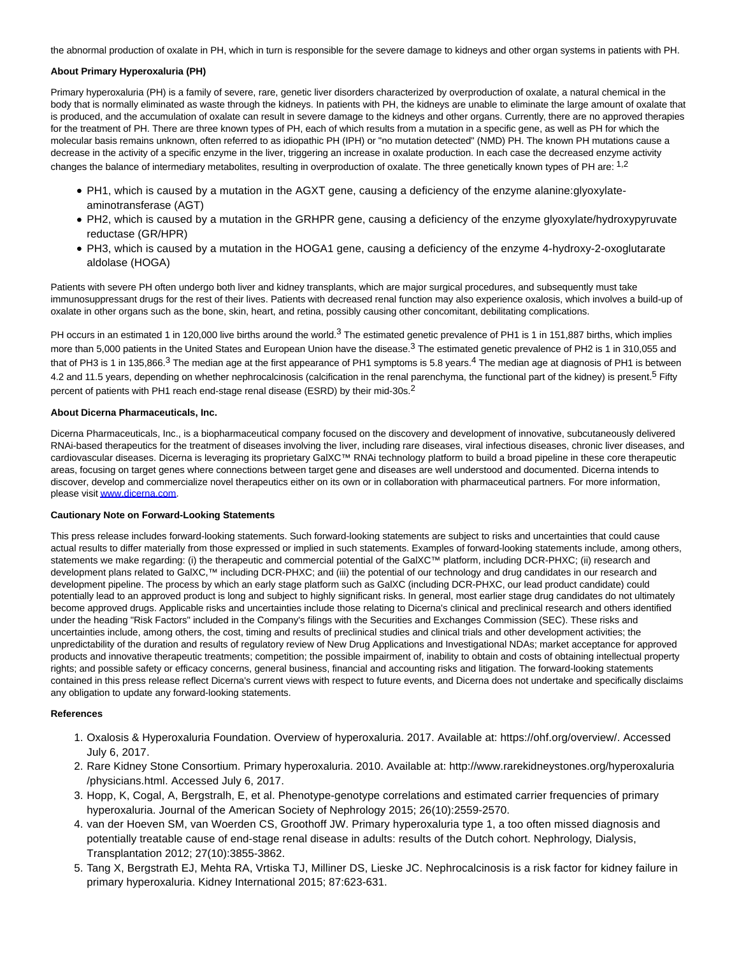the abnormal production of oxalate in PH, which in turn is responsible for the severe damage to kidneys and other organ systems in patients with PH.

#### **About Primary Hyperoxaluria (PH)**

Primary hyperoxaluria (PH) is a family of severe, rare, genetic liver disorders characterized by overproduction of oxalate, a natural chemical in the body that is normally eliminated as waste through the kidneys. In patients with PH, the kidneys are unable to eliminate the large amount of oxalate that is produced, and the accumulation of oxalate can result in severe damage to the kidneys and other organs. Currently, there are no approved therapies for the treatment of PH. There are three known types of PH, each of which results from a mutation in a specific gene, as well as PH for which the molecular basis remains unknown, often referred to as idiopathic PH (IPH) or "no mutation detected" (NMD) PH. The known PH mutations cause a decrease in the activity of a specific enzyme in the liver, triggering an increase in oxalate production. In each case the decreased enzyme activity changes the balance of intermediary metabolites, resulting in overproduction of oxalate. The three genetically known types of PH are:  $1,2$ 

- PH1, which is caused by a mutation in the AGXT gene, causing a deficiency of the enzyme alanine:glyoxylateaminotransferase (AGT)
- PH2, which is caused by a mutation in the GRHPR gene, causing a deficiency of the enzyme glyoxylate/hydroxypyruvate reductase (GR/HPR)
- PH3, which is caused by a mutation in the HOGA1 gene, causing a deficiency of the enzyme 4-hydroxy-2-oxoglutarate aldolase (HOGA)

Patients with severe PH often undergo both liver and kidney transplants, which are major surgical procedures, and subsequently must take immunosuppressant drugs for the rest of their lives. Patients with decreased renal function may also experience oxalosis, which involves a build-up of oxalate in other organs such as the bone, skin, heart, and retina, possibly causing other concomitant, debilitating complications.

PH occurs in an estimated 1 in 120,000 live births around the world.<sup>3</sup> The estimated genetic prevalence of PH1 is 1 in 151,887 births, which implies more than 5,000 patients in the United States and European Union have the disease.<sup>3</sup> The estimated genetic prevalence of PH2 is 1 in 310,055 and that of PH3 is 1 in 135,866.<sup>3</sup> The median age at the first appearance of PH1 symptoms is 5.8 years.<sup>4</sup> The median age at diagnosis of PH1 is between 4.2 and 11.5 years, depending on whether nephrocalcinosis (calcification in the renal parenchyma, the functional part of the kidney) is present.<sup>5</sup> Fifty percent of patients with PH1 reach end-stage renal disease (ESRD) by their mid-30s.2

#### **About Dicerna Pharmaceuticals, Inc.**

Dicerna Pharmaceuticals, Inc., is a biopharmaceutical company focused on the discovery and development of innovative, subcutaneously delivered RNAi-based therapeutics for the treatment of diseases involving the liver, including rare diseases, viral infectious diseases, chronic liver diseases, and cardiovascular diseases. Dicerna is leveraging its proprietary GalXC™ RNAi technology platform to build a broad pipeline in these core therapeutic areas, focusing on target genes where connections between target gene and diseases are well understood and documented. Dicerna intends to discover, develop and commercialize novel therapeutics either on its own or in collaboration with pharmaceutical partners. For more information, please visi[t www.dicerna.com.](http://cts.businesswire.com/ct/CT?id=smartlink&url=http%3A%2F%2Fwww.dicerna.com&esheet=51861803&newsitemid=20180905005422&lan=en-US&anchor=www.dicerna.com&index=2&md5=c9dffe2dbd6f5f399d8f9b92ebbc552a)

#### **Cautionary Note on Forward-Looking Statements**

This press release includes forward-looking statements. Such forward-looking statements are subject to risks and uncertainties that could cause actual results to differ materially from those expressed or implied in such statements. Examples of forward-looking statements include, among others, statements we make regarding: (i) the therapeutic and commercial potential of the GalXC™ platform, including DCR-PHXC; (ii) research and development plans related to GalXC,™ including DCR-PHXC; and (iii) the potential of our technology and drug candidates in our research and development pipeline. The process by which an early stage platform such as GalXC (including DCR-PHXC, our lead product candidate) could potentially lead to an approved product is long and subject to highly significant risks. In general, most earlier stage drug candidates do not ultimately become approved drugs. Applicable risks and uncertainties include those relating to Dicerna's clinical and preclinical research and others identified under the heading "Risk Factors" included in the Company's filings with the Securities and Exchanges Commission (SEC). These risks and uncertainties include, among others, the cost, timing and results of preclinical studies and clinical trials and other development activities; the unpredictability of the duration and results of regulatory review of New Drug Applications and Investigational NDAs; market acceptance for approved products and innovative therapeutic treatments; competition; the possible impairment of, inability to obtain and costs of obtaining intellectual property rights; and possible safety or efficacy concerns, general business, financial and accounting risks and litigation. The forward-looking statements contained in this press release reflect Dicerna's current views with respect to future events, and Dicerna does not undertake and specifically disclaims any obligation to update any forward-looking statements.

#### **References**

- 1. Oxalosis & Hyperoxaluria Foundation. Overview of hyperoxaluria. 2017. Available at: https://ohf.org/overview/. Accessed July 6, 2017.
- 2. Rare Kidney Stone Consortium. Primary hyperoxaluria. 2010. Available at: http://www.rarekidneystones.org/hyperoxaluria /physicians.html. Accessed July 6, 2017.
- 3. Hopp, K, Cogal, A, Bergstralh, E, et al. Phenotype-genotype correlations and estimated carrier frequencies of primary hyperoxaluria. Journal of the American Society of Nephrology 2015; 26(10):2559-2570.
- 4. van der Hoeven SM, van Woerden CS, Groothoff JW. Primary hyperoxaluria type 1, a too often missed diagnosis and potentially treatable cause of end-stage renal disease in adults: results of the Dutch cohort. Nephrology, Dialysis, Transplantation 2012; 27(10):3855-3862.
- 5. Tang X, Bergstrath EJ, Mehta RA, Vrtiska TJ, Milliner DS, Lieske JC. Nephrocalcinosis is a risk factor for kidney failure in primary hyperoxaluria. Kidney International 2015; 87:623-631.